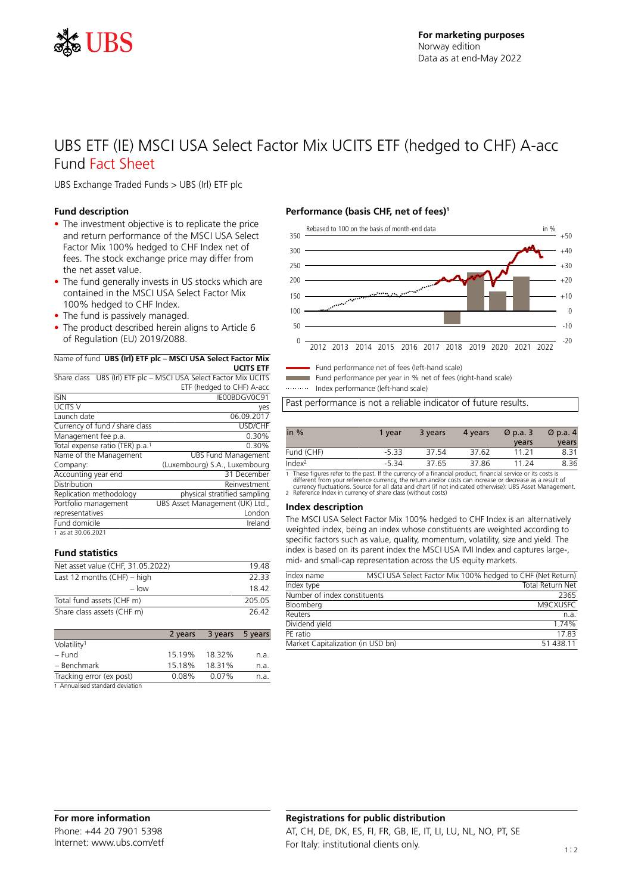

# UBS ETF (IE) MSCI USA Select Factor Mix UCITS ETF (hedged to CHF) A-acc Fund Fact Sheet

UBS Exchange Traded Funds > UBS (Irl) ETF plc

### **Fund description**

- The investment objective is to replicate the price and return performance of the MSCI USA Select Factor Mix 100% hedged to CHF Index net of fees. The stock exchange price may differ from the net asset value.
- The fund generally invests in US stocks which are contained in the MSCI USA Select Factor Mix 100% hedged to CHF Index.
- The fund is passively managed.
- The product described herein aligns to Article 6 of Regulation (EU) 2019/2088.

#### Name of fund **UBS (Irl) ETF plc – MSCI USA Select Factor Mix**

**UCITS ETF** Share class UBS (Irl) ETF plc – MSCI USA Select Factor Mix UCITS ETF (hedged to CHF) A-acc

| <b>ISIN</b>                                 | IE00BDGV0C91                    |
|---------------------------------------------|---------------------------------|
| UCITS V                                     | yes                             |
| Launch date                                 | 06.09.2017                      |
| Currency of fund / share class              | USD/CHF                         |
| Management fee p.a.                         | 0.30%                           |
| Total expense ratio (TER) p.a. <sup>1</sup> | 0.30%                           |
| Name of the Management                      | <b>UBS Fund Management</b>      |
| Company:                                    | (Luxembourg) S.A., Luxembourg   |
| Accounting year end                         | 31 December                     |
| Distribution                                | Reinvestment                    |
| Replication methodology                     | physical stratified sampling    |
| Portfolio management                        | UBS Asset Management (UK) Ltd., |
| representatives                             | London                          |
| Fund domicile                               | Ireland                         |
| 1 as at 30.06.2021                          |                                 |

### **Fund statistics**

| Net asset value (CHF, 31.05.2022) | 1948   |
|-----------------------------------|--------|
| Last 12 months $(CHF) - high$     | 22.33  |
| $-$ low                           | 18.42  |
| Total fund assets (CHF m)         | 205.05 |
| Share class assets (CHF m)        | 26.42  |
|                                   |        |

|                                  | 2 years | 3 years 5 years |      |
|----------------------------------|---------|-----------------|------|
| Volatility <sup>1</sup>          |         |                 |      |
| – Fund                           | 15.19%  | 18.32%          | n.a. |
| - Benchmark                      | 15.18%  | 18.31%          | n.a. |
| Tracking error (ex post)         | 0.08%   | 0.07%           | n.a. |
| 1. Annualicad ctandard doviation |         |                 |      |

1 Annualised standard deviation

## **Performance (basis CHF, net of fees)<sup>1</sup>**



Fund performance net of fees (left-hand scale) Fund performance per year in % net of fees (right-hand scale)

Index performance (left-hand scale)

Past performance is not a reliable indicator of future results.

| in $%$             | 1 vear  | 3 years | 4 years | $\varnothing$ p.a. 3<br>years | $\varnothing$ p.a. 4<br>years |
|--------------------|---------|---------|---------|-------------------------------|-------------------------------|
| Fund (CHF)         | $-5.33$ | 37.54   | 37.62   | 11 21                         | 8.31                          |
| Index <sup>2</sup> | $-5.34$ | 37.65   | 37.86   | 11 24                         | 8.36                          |

1 These figures refer to the past. If the currency of a financial product, financial service or its costs is<br>different from your reference currency, the return and/or costs can increase or decrease as a result of<br>currency

#### **Index description**

The MSCI USA Select Factor Mix 100% hedged to CHF Index is an alternatively weighted index, being an index whose constituents are weighted according to specific factors such as value, quality, momentum, volatility, size and yield. The index is based on its parent index the MSCI USA IMI Index and captures large-, mid- and small-cap representation across the US equity markets.

| Index name                        | MSCI USA Select Factor Mix 100% hedged to CHF (Net Return) |
|-----------------------------------|------------------------------------------------------------|
| Index type                        | Total Return Net                                           |
| Number of index constituents      | 2365                                                       |
| Bloomberg                         | M9CXUSFC                                                   |
| Reuters                           | n.a.                                                       |
| Dividend yield                    | 1.74%                                                      |
| PF ratio                          | 1783                                                       |
| Market Capitalization (in USD bn) | 51 438 11                                                  |

# **Registrations for public distribution** AT, CH, DE, DK, ES, FI, FR, GB, IE, IT, LI, LU, NL, NO, PT, SE For Italy: institutional clients only.  $1 \frac{1}{2}$